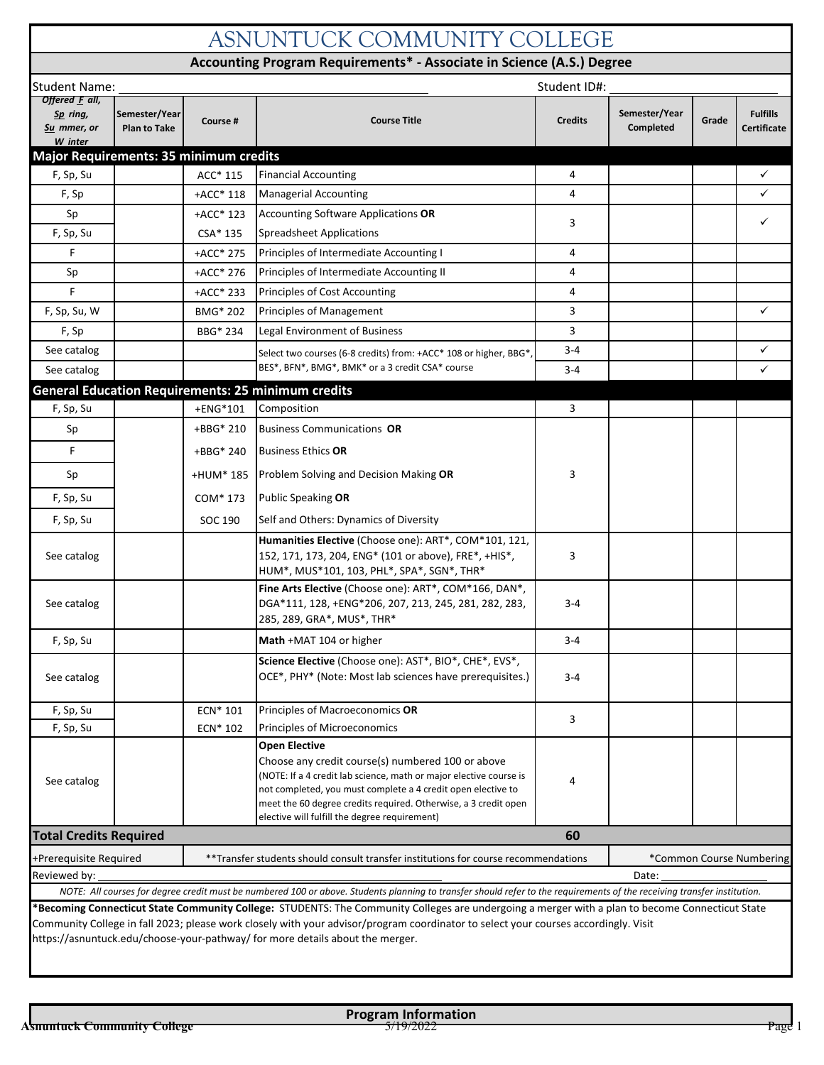## **Semester/Year Plan to Take Course # Fulfills Certificate** F, Sp, Su  $\begin{array}{|c|c|c|c|c|}\hline \end{array}$  ACC\* 115  $\begin{array}{|c|c|c|}\hline \end{array}$  Financial Accounting  $\begin{array}{|c|c|c|}\hline \end{array}$ F, Sp  $\begin{array}{|c|c|c|c|c|c|}\n\hline\n\end{array}$  +ACC\* 118 Managerial Accounting  $\begin{array}{|c|c|c|c|}\n\hline\n\end{array}$  4  $\begin{array}{|c|c|c|c|}\n\hline\n\end{array}$ +ACC\* 123 CSA\* 135 +ACC\* 275 +ACC\* 276 +ACC\* 233 F, Sp, Su, W  $\begin{array}{|c|c|c|c|c|}\hline \text{BMO}^* & \text{D} & \text{P}^* & \text{D} \end{array}$  Principles of Management  $\begin{array}{|c|c|c|c|c|}\hline \text{BMO}^* & \text{D} & \text{D} & \text{D} \end{array}$ BBG\* 234  $\checkmark$  $\checkmark$ +ENG\*101 +BBG\* 210 ASNUNTUCK COMMUNITY COLLEGE **Accounting Program Requirements\* - Associate in Science (A.S.) Degree** Student Name: Student ID#: *Offered F all, Sp ring, Su mmer, or W inter* **Course Title Course Title Credits Semester/Year Completed** Grade **Major Requirements: 35 minimum credits** Sp  $\begin{array}{|c|c|c|c|c|}\n\hline\n\end{array}$  +ACC\* 123 Accounting Software Applications OR  $3 \left| \begin{array}{ccc} \end{array} \right|$ F, Sp, Su  $\left\vert \right\vert$  CSA\* 135 Spreadsheet Applications F **Principles of Intermediate Accounting I** 4 Sp  $HAC^* 276$  Principles of Intermediate Accounting II 4 F **Principles of Cost Accounting 1996 Principles of Cost Accounting 1996 4** F, Sp BBG\* 234 Legal Environment of Business 3 See catalog Select two courses (6-8 credits) from: +ACC\* 108 or higher, BBG\*, 3-4 See catalog **EXA:** BES\*, BFN\*, BMG\*, BMK\* or a 3 credit CSA\* course S<sub>3-4</sub> F, Sp, Su Letter Letter that the Henger Special Composition and the Special Special Special Special Special Sp Sp  $\left\vert \right\vert$  +BBG<sup>\*</sup> 210 Business Communications **OR General Education Requirements: 25 minimum credits**

| Sp                                                                                                                                                                                                                                                                                                                                                                      | +HUM* 185 |  | Problem Solving and Decision Making OR                                                                                                                                                                                                                                                                                              | 3       |                          |  |  |  |
|-------------------------------------------------------------------------------------------------------------------------------------------------------------------------------------------------------------------------------------------------------------------------------------------------------------------------------------------------------------------------|-----------|--|-------------------------------------------------------------------------------------------------------------------------------------------------------------------------------------------------------------------------------------------------------------------------------------------------------------------------------------|---------|--------------------------|--|--|--|
| F, Sp, Su                                                                                                                                                                                                                                                                                                                                                               | COM* 173  |  | <b>Public Speaking OR</b>                                                                                                                                                                                                                                                                                                           |         |                          |  |  |  |
| F, Sp, Su                                                                                                                                                                                                                                                                                                                                                               | SOC 190   |  | Self and Others: Dynamics of Diversity                                                                                                                                                                                                                                                                                              |         |                          |  |  |  |
| See catalog                                                                                                                                                                                                                                                                                                                                                             |           |  | Humanities Elective (Choose one): ART*, COM*101, 121,<br>152, 171, 173, 204, ENG* (101 or above), FRE*, +HIS*,<br>HUM*, MUS*101, 103, PHL*, SPA*, SGN*, THR*                                                                                                                                                                        | 3       |                          |  |  |  |
| See catalog                                                                                                                                                                                                                                                                                                                                                             |           |  | Fine Arts Elective (Choose one): ART*, COM*166, DAN*,<br>DGA*111, 128, +ENG*206, 207, 213, 245, 281, 282, 283,<br>285, 289, GRA*, MUS*, THR*                                                                                                                                                                                        | $3 - 4$ |                          |  |  |  |
| F, Sp, Su                                                                                                                                                                                                                                                                                                                                                               |           |  | Math +MAT 104 or higher                                                                                                                                                                                                                                                                                                             | $3 - 4$ |                          |  |  |  |
| See catalog                                                                                                                                                                                                                                                                                                                                                             |           |  | Science Elective (Choose one): AST*, BIO*, CHE*, EVS*,<br>OCE*, PHY* (Note: Most lab sciences have prerequisites.)                                                                                                                                                                                                                  | $3 - 4$ |                          |  |  |  |
| F, Sp, Su                                                                                                                                                                                                                                                                                                                                                               | ECN* 101  |  | Principles of Macroeconomics OR                                                                                                                                                                                                                                                                                                     | 3       |                          |  |  |  |
| F, Sp, Su                                                                                                                                                                                                                                                                                                                                                               | ECN* 102  |  | Principles of Microeconomics                                                                                                                                                                                                                                                                                                        |         |                          |  |  |  |
| See catalog                                                                                                                                                                                                                                                                                                                                                             |           |  | <b>Open Elective</b><br>Choose any credit course(s) numbered 100 or above<br>(NOTE: If a 4 credit lab science, math or major elective course is<br>not completed, you must complete a 4 credit open elective to<br>meet the 60 degree credits required. Otherwise, a 3 credit open<br>elective will fulfill the degree requirement) | 4       |                          |  |  |  |
| <b>Total Credits Required</b><br>60                                                                                                                                                                                                                                                                                                                                     |           |  |                                                                                                                                                                                                                                                                                                                                     |         |                          |  |  |  |
| +Prerequisite Required                                                                                                                                                                                                                                                                                                                                                  |           |  | **Transfer students should consult transfer institutions for course recommendations                                                                                                                                                                                                                                                 |         | *Common Course Numbering |  |  |  |
| Reviewed by:                                                                                                                                                                                                                                                                                                                                                            |           |  |                                                                                                                                                                                                                                                                                                                                     |         | Date:                    |  |  |  |
|                                                                                                                                                                                                                                                                                                                                                                         |           |  | NOTE: All courses for degree credit must be numbered 100 or above. Students planning to transfer should refer to the requirements of the receiving transfer institution.                                                                                                                                                            |         |                          |  |  |  |
| *Becoming Connecticut State Community College: STUDENTS: The Community Colleges are undergoing a merger with a plan to become Connecticut State<br>Community College in fall 2023; please work closely with your advisor/program coordinator to select your courses accordingly. Visit<br>https://asnuntuck.edu/choose-your-pathway/ for more details about the merger. |           |  |                                                                                                                                                                                                                                                                                                                                     |         |                          |  |  |  |

+BBG\* 240

F Business Ethics **OR**